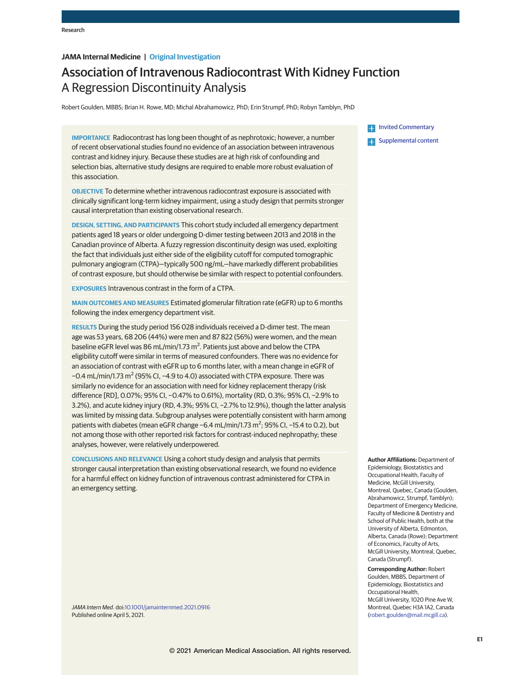### **JAMA Internal Medicine | Original Investigation**

# Association of Intravenous Radiocontrast With Kidney Function A Regression Discontinuity Analysis

Robert Goulden, MBBS; Brian H. Rowe, MD; Michal Abrahamowicz, PhD; Erin Strumpf, PhD; Robyn Tamblyn, PhD

**IMPORTANCE** Radiocontrast has long been thought of as nephrotoxic; however, a number of recent observational studies found no evidence of an association between intravenous contrast and kidney injury. Because these studies are at high risk of confounding and selection bias, alternative study designs are required to enable more robust evaluation of this association.

**OBJECTIVE** To determine whether intravenous radiocontrast exposure is associated with clinically significant long-term kidney impairment, using a study design that permits stronger causal interpretation than existing observational research.

**DESIGN, SETTING, AND PARTICIPANTS** This cohort study included all emergency department patients aged 18 years or older undergoing D-dimer testing between 2013 and 2018 in the Canadian province of Alberta. A fuzzy regression discontinuity design was used, exploiting the fact that individuals just either side of the eligibility cutoff for computed tomographic pulmonary angiogram (CTPA)—typically 500 ng/mL—have markedly different probabilities of contrast exposure, but should otherwise be similar with respect to potential confounders.

**EXPOSURES** Intravenous contrast in the form of a CTPA.

**MAIN OUTCOMES AND MEASURES** Estimated glomerular filtration rate (eGFR) up to 6 months following the index emergency department visit.

**RESULTS** During the study period 156 028 individuals received a D-dimer test. The mean age was 53 years, 68 206 (44%) were men and 87 822 (56%) were women, and the mean baseline eGFR level was 86 mL/min/1.73  $m^2$ . Patients just above and below the CTPA eligibility cutoff were similar in terms of measured confounders. There was no evidence for an association of contrast with eGFR up to 6 months later, with a mean change in eGFR of -0.4 mL/min/1.73 m<sup>2</sup> (95% CI, -4.9 to 4.0) associated with CTPA exposure. There was similarly no evidence for an association with need for kidney replacement therapy (risk difference [RD], 0.07%; 95% CI, −0.47% to 0.61%), mortality (RD, 0.3%; 95% CI, −2.9% to 3.2%), and acute kidney injury (RD, 4.3%; 95% CI, −2.7% to 12.9%), though the latter analysis was limited by missing data. Subgroup analyses were potentially consistent with harm among patients with diabetes (mean eGFR change −6.4 mL/min/1.73 m<sup>2</sup>; 95% CI, −15.4 to 0.2), but not among those with other reported risk factors for contrast-induced nephropathy; these analyses, however, were relatively underpowered.

**CONCLUSIONS AND RELEVANCE** Using a cohort study design and analysis that permits stronger causal interpretation than existing observational research, we found no evidence for a harmful effect on kidney function of intravenous contrast administered for CTPA in an emergency setting.

*JAMA Intern Med*. doi[:10.1001/jamainternmed.2021.0916](https://jamanetwork.com/journals/jama/fullarticle/10.1001/jamainternmed.2021.0916?utm_campaign=articlePDF%26utm_medium=articlePDFlink%26utm_source=articlePDF%26utm_content=jamainternmed.2021.0916) Published online April 5, 2021.

**[Invited Commentary](https://jamanetwork.com/journals/jama/fullarticle/10.1001/jamainternmed.2021.0923?utm_campaign=articlePDF%26utm_medium=articlePDFlink%26utm_source=articlePDF%26utm_content=jamainternmed.2021.0916) Examplemental content** 

**Author Affiliations:** Department of Epidemiology, Biostatistics and Occupational Health, Faculty of Medicine, McGill University, Montreal, Quebec, Canada (Goulden, Abrahamowicz, Strumpf, Tamblyn); Department of Emergency Medicine, Faculty of Medicine & Dentistry and School of Public Health, both at the University of Alberta, Edmonton, Alberta, Canada (Rowe); Department of Economics, Faculty of Arts, McGill University, Montreal, Quebec, Canada (Strumpf).

**Corresponding Author:** Robert Goulden, MBBS, Department of Epidemiology, Biostatistics and Occupational Health, McGill University, 1020 Pine Ave W, Montreal, Quebec H3A 1A2, Canada [\(robert.goulden@mail.mcgill.ca\)](mailto:robert.goulden@mail.mcgill.ca).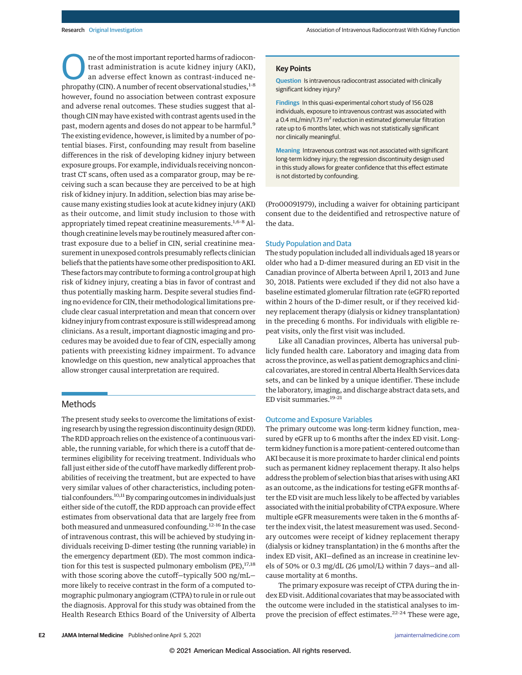The of the most important reported harms of radiocontrast administration is acute kidney injury (AKI), an adverse effect known as contrast-induced nephropathy (CIN). A number of recent observational studies,<sup>1-8</sup> ne of the most important reported harms of radiocontrast administration is acute kidney injury (AKI), an adverse effect known as contrast-induced nehowever, found no association between contrast exposure and adverse renal outcomes. These studies suggest that although CIN may have existed with contrast agents used in the past, modern agents and doses do not appear to be harmful.<sup>9</sup> The existing evidence, however, is limited by a number of potential biases. First, confounding may result from baseline differences in the risk of developing kidney injury between exposure groups. For example, individuals receiving noncontrast CT scans, often used as a comparator group, may be receiving such a scan because they are perceived to be at high risk of kidney injury. In addition, selection bias may arise because many existing studies look at acute kidney injury (AKI) as their outcome, and limit study inclusion to those with appropriately timed repeat creatinine measurements.<sup>1,6-8</sup> Although creatinine levels may be routinely measured after contrast exposure due to a belief in CIN, serial creatinine measurement in unexposed controls presumably reflects clinician beliefs that the patients have some other predisposition to AKI. These factors may contribute to forming a control group at high risk of kidney injury, creating a bias in favor of contrast and thus potentially masking harm. Despite several studies finding no evidence for CIN, their methodological limitations preclude clear casual interpretation and mean that concern over kidney injury from contrast exposure is still widespread among clinicians. As a result, important diagnostic imaging and procedures may be avoided due to fear of CIN, especially among patients with preexisting kidney impairment. To advance knowledge on this question, new analytical approaches that allow stronger causal interpretation are required.

### Methods

The present study seeks to overcome the limitations of existing research by using the regression discontinuity design (RDD). The RDD approach relies on the existence of a continuous variable, the running variable, for which there is a cutoff that determines eligibility for receiving treatment. Individuals who fall just either side of the cutoff have markedly different probabilities of receiving the treatment, but are expected to have very similar values of other characteristics, including potential confounders.<sup>10,11</sup> By comparing outcomes in individuals just either side of the cutoff, the RDD approach can provide effect estimates from observational data that are largely free from both measured and unmeasured confounding.12-16 In the case of intravenous contrast, this will be achieved by studying individuals receiving D-dimer testing (the running variable) in the emergency department (ED). The most common indication for this test is suspected pulmonary embolism (PE), $17,18$ with those scoring above the cutoff—typically 500 ng/mL more likely to receive contrast in the form of a computed tomographic pulmonary angiogram (CTPA) to rule in or rule out the diagnosis. Approval for this study was obtained from the Health Research Ethics Board of the University of Alberta

#### **Key Points**

**Question** Is intravenous radiocontrast associated with clinically significant kidney injury?

**Findings** In this quasi-experimental cohort study of 156 028 individuals, exposure to intravenous contrast was associated with a 0.4 mL/min/1.73 m<sup>2</sup> reduction in estimated glomerular filtration rate up to 6 months later, which was not statistically significant nor clinically meaningful.

**Meaning** Intravenous contrast was not associated with significant long-term kidney injury; the regression discontinuity design used in this study allows for greater confidence that this effect estimate is not distorted by confounding.

(Pro00091979), including a waiver for obtaining participant consent due to the deidentified and retrospective nature of the data.

### Study Population and Data

The study population included all individuals aged 18 years or older who had a D-dimer measured during an ED visit in the Canadian province of Alberta between April 1, 2013 and June 30, 2018. Patients were excluded if they did not also have a baseline estimated glomerular filtration rate (eGFR) reported within 2 hours of the D-dimer result, or if they received kidney replacement therapy (dialysis or kidney transplantation) in the preceding 6 months. For individuals with eligible repeat visits, only the first visit was included.

Like all Canadian provinces, Alberta has universal publicly funded health care. Laboratory and imaging data from across the province, as well as patient demographics and clinical covariates, are stored in central Alberta Health Services data sets, and can be linked by a unique identifier. These include the laboratory, imaging, and discharge abstract data sets, and ED visit summaries.19-21

#### Outcome and Exposure Variables

The primary outcome was long-term kidney function, measured by eGFR up to 6 months after the index ED visit. Longterm kidney function is amore patient-centered outcome than AKI because it is more proximate to harder clinical end points such as permanent kidney replacement therapy. It also helps address the problem of selection bias that arises with using AKI as an outcome, as the indications for testing eGFR months after the ED visit are much less likely to be affected by variables associated with the initial probability of CTPA exposure. Where multiple eGFR measurements were taken in the 6 months after the index visit, the latest measurement was used. Secondary outcomes were receipt of kidney replacement therapy (dialysis or kidney transplantation) in the 6 months after the index ED visit, AKI—defined as an increase in creatinine levels of 50% or 0.3 mg/dL (26 μmol/L) within 7 days—and allcause mortality at 6 months.

The primary exposure was receipt of CTPA during the index ED visit. Additional covariates that may be associated with the outcome were included in the statistical analyses to improve the precision of effect estimates.<sup>22-24</sup> These were age,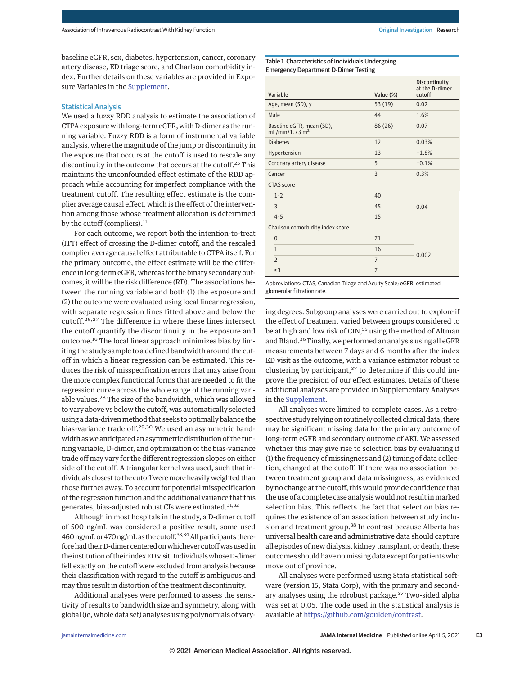baseline eGFR, sex, diabetes, hypertension, cancer, coronary artery disease, ED triage score, and Charlson comorbidity index. Further details on these variables are provided in Exposure Variables in the [Supplement.](https://jamanetwork.com/journals/jama/fullarticle/10.1001/jamainternmed.2021.0916?utm_campaign=articlePDF%26utm_medium=articlePDFlink%26utm_source=articlePDF%26utm_content=jamainternmed.2021.0916)

#### Statistical Analysis

We used a fuzzy RDD analysis to estimate the association of CTPA exposure with long-term eGFR, with D-dimer as the running variable. Fuzzy RDD is a form of instrumental variable analysis, where the magnitude of the jump or discontinuity in the exposure that occurs at the cutoff is used to rescale any discontinuity in the outcome that occurs at the cutoff.<sup>25</sup> This maintains the unconfounded effect estimate of the RDD approach while accounting for imperfect compliance with the treatment cutoff. The resulting effect estimate is the complier average causal effect, which is the effect of the intervention among those whose treatment allocation is determined by the cutoff (compliers).<sup>11</sup>

For each outcome, we report both the intention-to-treat (ITT) effect of crossing the D-dimer cutoff, and the rescaled complier average causal effect attributable to CTPA itself. For the primary outcome, the effect estimate will be the difference in long-term eGFR, whereas for the binary secondary outcomes, it will be the risk difference (RD). The associations between the running variable and both (1) the exposure and (2) the outcome were evaluated using local linear regression, with separate regression lines fitted above and below the cutoff.26,27 The difference in where these lines intersect the cutoff quantify the discontinuity in the exposure and outcome.<sup>16</sup> The local linear approach minimizes bias by limiting the study sample to a defined bandwidth around the cutoff in which a linear regression can be estimated. This reduces the risk of misspecification errors that may arise from the more complex functional forms that are needed to fit the regression curve across the whole range of the running variable values.<sup>28</sup> The size of the bandwidth, which was allowed to vary above vs below the cutoff, was automatically selected using a data-driven method that seeks to optimally balance the bias-variance trade off.<sup>29,30</sup> We used an asymmetric bandwidth as we anticipated an asymmetric distribution of the running variable, D-dimer, and optimization of the bias-variance trade off may vary for the different regression slopes on either side of the cutoff. A triangular kernel was used, such that individuals closest to the cutoff weremore heavily weighted than those further away. To account for potential misspecification of the regression function and the additional variance that this generates, bias-adjusted robust CIs were estimated.<sup>31,32</sup>

Although in most hospitals in the study, a D-dimer cutoff of 500 ng/mL was considered a positive result, some used 460 ng/mL or 470 ng/mL as the cutoff.<sup>33,34</sup> All participants therefore had their D-dimer centered on whichever cutoff was used in the institution of their indexED visit. Individualswhose D-dimer fell exactly on the cutoff were excluded from analysis because their classification with regard to the cutoff is ambiguous and may thus result in distortion of the treatment discontinuity.

Additional analyses were performed to assess the sensitivity of results to bandwidth size and symmetry, along with global (ie, whole data set) analyses using polynomials of vary-

Table 1. Characteristics of Individuals Undergoing Emergency Department D-Dimer Testing

|                                  | Variable                                                | Value (%) | <b>Discontinuity</b><br>at the D-dimer<br>cutoff |  |
|----------------------------------|---------------------------------------------------------|-----------|--------------------------------------------------|--|
|                                  | Age, mean (SD), y                                       | 53(19)    | 0.02                                             |  |
|                                  | Male                                                    | 44        | 1.6%                                             |  |
|                                  | Baseline eGFR, mean (SD),<br>mL/min/1.73 m <sup>2</sup> | 86 (26)   | 0.07                                             |  |
| <b>Diabetes</b>                  |                                                         | 12        | 0.03%                                            |  |
| Hypertension                     |                                                         | 13        | $-1.8%$                                          |  |
| Coronary artery disease          |                                                         | 5         | $-0.1%$                                          |  |
| Cancer                           |                                                         | 3         | 0.3%                                             |  |
|                                  | CTAS score                                              |           |                                                  |  |
|                                  | $1 - 2$                                                 | 40        |                                                  |  |
|                                  | 3                                                       | 45        | 0.04                                             |  |
|                                  | $4 - 5$                                                 | 15        |                                                  |  |
| Charlson comorbidity index score |                                                         |           |                                                  |  |
|                                  | $\mathbf{0}$                                            | 71        |                                                  |  |
|                                  | $\mathbf{1}$                                            | 16        | 0.002                                            |  |
|                                  | $\overline{2}$                                          | 7         |                                                  |  |
|                                  | $\geq$ 3                                                | 7         |                                                  |  |
|                                  |                                                         |           |                                                  |  |

Abbreviations: CTAS, Canadian Triage and Acuity Scale; eGFR, estimated glomerular filtration rate.

ing degrees. Subgroup analyses were carried out to explore if the effect of treatment varied between groups considered to be at high and low risk of CIN,<sup>35</sup> using the method of Altman and Bland.<sup>36</sup> Finally, we performed an analysis using all eGFR measurements between 7 days and 6 months after the index ED visit as the outcome, with a variance estimator robust to clustering by participant, $37$  to determine if this could improve the precision of our effect estimates. Details of these additional analyses are provided in Supplementary Analyses in the [Supplement.](https://jamanetwork.com/journals/jama/fullarticle/10.1001/jamainternmed.2021.0916?utm_campaign=articlePDF%26utm_medium=articlePDFlink%26utm_source=articlePDF%26utm_content=jamainternmed.2021.0916)

All analyses were limited to complete cases. As a retrospective study relying on routinely collected clinical data, there may be significant missing data for the primary outcome of long-term eGFR and secondary outcome of AKI. We assessed whether this may give rise to selection bias by evaluating if (1) the frequency of missingness and (2) timing of data collection, changed at the cutoff. If there was no association between treatment group and data missingness, as evidenced by no change at the cutoff, this would provide confidence that the use of a complete case analysis would not result in marked selection bias. This reflects the fact that selection bias requires the existence of an association between study inclusion and treatment group.<sup>38</sup> In contrast because Alberta has universal health care and administrative data should capture all episodes of new dialysis, kidney transplant, or death, these outcomes should have no missing data except for patients who move out of province.

All analyses were performed using Stata statistical software (version 15, Stata Corp), with the primary and secondary analyses using the rdrobust package.<sup>37</sup> Two-sided alpha was set at 0.05. The code used in the statistical analysis is available at [https://github.com/goulden/contrast.](https://github.com/goulden/contrast)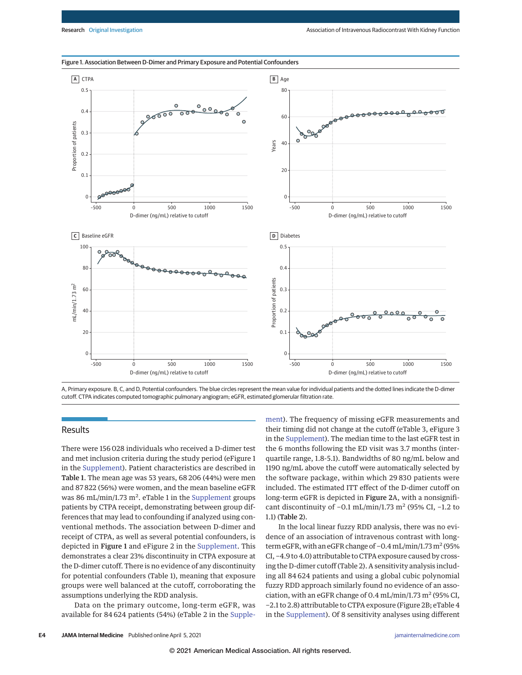

#### Figure 1. Association Between D-Dimer and Primary Exposure and Potential Confounders

A, Primary exposure. B, C, and D, Potential confounders. The blue circles represent the mean value for individual patients and the dotted lines indicate the D-dimer cutoff. CTPA indicates computed tomographic pulmonary angiogram; eGFR, estimated glomerular filtration rate.

#### Results

There were 156 028 individuals who received a D-dimer test and met inclusion criteria during the study period (eFigure 1 in the [Supplement\)](https://jamanetwork.com/journals/jama/fullarticle/10.1001/jamainternmed.2021.0916?utm_campaign=articlePDF%26utm_medium=articlePDFlink%26utm_source=articlePDF%26utm_content=jamainternmed.2021.0916). Patient characteristics are described in Table 1. The mean age was 53 years, 68 206 (44%) were men and 87 822 (56%) were women, and the mean baseline eGFR was 86 mL/min/1.73  $m^2$ . eTable 1 in the [Supplement](https://jamanetwork.com/journals/jama/fullarticle/10.1001/jamainternmed.2021.0916?utm_campaign=articlePDF%26utm_medium=articlePDFlink%26utm_source=articlePDF%26utm_content=jamainternmed.2021.0916) groups patients by CTPA receipt, demonstrating between group differences that may lead to confounding if analyzed using conventional methods. The association between D-dimer and receipt of CTPA, as well as several potential confounders, is depicted in Figure 1 and eFigure 2 in the [Supplement.](https://jamanetwork.com/journals/jama/fullarticle/10.1001/jamainternmed.2021.0916?utm_campaign=articlePDF%26utm_medium=articlePDFlink%26utm_source=articlePDF%26utm_content=jamainternmed.2021.0916) This demonstrates a clear 23% discontinuity in CTPA exposure at the D-dimer cutoff. There is no evidence of any discontinuity for potential confounders (Table 1), meaning that exposure groups were well balanced at the cutoff, corroborating the assumptions underlying the RDD analysis.

Data on the primary outcome, long-term eGFR, was available for 84 624 patients (54%) (eTable 2 in the [Supple-](https://jamanetwork.com/journals/jama/fullarticle/10.1001/jamainternmed.2021.0916?utm_campaign=articlePDF%26utm_medium=articlePDFlink%26utm_source=articlePDF%26utm_content=jamainternmed.2021.0916) [ment\)](https://jamanetwork.com/journals/jama/fullarticle/10.1001/jamainternmed.2021.0916?utm_campaign=articlePDF%26utm_medium=articlePDFlink%26utm_source=articlePDF%26utm_content=jamainternmed.2021.0916). The frequency of missing eGFR measurements and their timing did not change at the cutoff (eTable 3, eFigure 3 in the [Supplement\)](https://jamanetwork.com/journals/jama/fullarticle/10.1001/jamainternmed.2021.0916?utm_campaign=articlePDF%26utm_medium=articlePDFlink%26utm_source=articlePDF%26utm_content=jamainternmed.2021.0916). The median time to the last eGFR test in the 6 months following the ED visit was 3.7 months (interquartile range, 1.8-5.1). Bandwidths of 80 ng/mL below and 1190 ng/mL above the cutoff were automatically selected by the software package, within which 29 830 patients were included. The estimated ITT effect of the D-dimer cutoff on long-term eGFR is depicted in Figure 2A, with a nonsignificant discontinuity of -0.1 mL/min/1.73 m<sup>2</sup> (95% CI, -1.2 to 1.1) (Table 2).

In the local linear fuzzy RDD analysis, there was no evidence of an association of intravenous contrast with longterm eGFR, with an eGFR change of  $-0.4$  mL/min/1.73 m<sup>2</sup> (95% CI, −4.9 to 4.0) attributable to CTPA exposure caused by crossing the D-dimer cutoff (Table 2). A sensitivity analysis including all 84 624 patients and using a global cubic polynomial fuzzy RDD approach similarly found no evidence of an association, with an eGFR change of 0.4 mL/min/1.73  $m^2$  (95% CI, −2.1 to 2.8) attributable to CTPA exposure (Figure 2B; eTable 4 in the [Supplement\)](https://jamanetwork.com/journals/jama/fullarticle/10.1001/jamainternmed.2021.0916?utm_campaign=articlePDF%26utm_medium=articlePDFlink%26utm_source=articlePDF%26utm_content=jamainternmed.2021.0916). Of 8 sensitivity analyses using different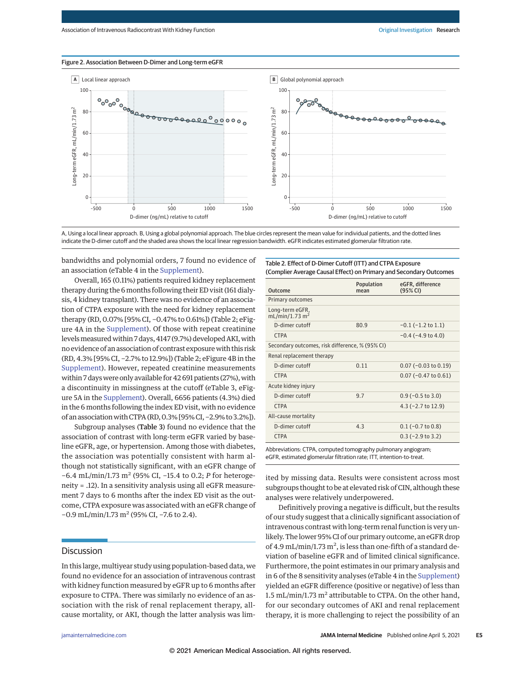#### Figure 2. Association Between D-Dimer and Long-term eGFR



A, Using a local linear approach. B, Using a global polynomial approach. The blue circles represent the mean value for individual patients, and the dotted lines indicate the D-dimer cutoff and the shaded area shows the local linear regression bandwidth. eGFR indicates estimated glomerular filtration rate.

bandwidths and polynomial orders, 7 found no evidence of an association (eTable 4 in the [Supplement\)](https://jamanetwork.com/journals/jama/fullarticle/10.1001/jamainternmed.2021.0916?utm_campaign=articlePDF%26utm_medium=articlePDFlink%26utm_source=articlePDF%26utm_content=jamainternmed.2021.0916).

Overall, 165 (0.11%) patients required kidney replacement therapy during the 6 months following their ED visit (161 dialysis, 4 kidney transplant). There was no evidence of an association of CTPA exposure with the need for kidney replacement therapy (RD, 0.07% [95% CI, −0.47% to 0.61%]) (Table 2; eFigure 4A in the [Supplement\)](https://jamanetwork.com/journals/jama/fullarticle/10.1001/jamainternmed.2021.0916?utm_campaign=articlePDF%26utm_medium=articlePDFlink%26utm_source=articlePDF%26utm_content=jamainternmed.2021.0916). Of those with repeat creatinine levels measured within 7 days, 4147 (9.7%) developed AKI, with no evidence of an association of contrast exposurewith this risk (RD, 4.3% [95% CI, −2.7% to 12.9%]) (Table 2; eFigure 4B in the [Supplement\)](https://jamanetwork.com/journals/jama/fullarticle/10.1001/jamainternmed.2021.0916?utm_campaign=articlePDF%26utm_medium=articlePDFlink%26utm_source=articlePDF%26utm_content=jamainternmed.2021.0916). However, repeated creatinine measurements within 7 days were only available for 42 691 patients (27%), with a discontinuity in missingness at the cutoff (eTable 3, eFigure 5A in the [Supplement\)](https://jamanetwork.com/journals/jama/fullarticle/10.1001/jamainternmed.2021.0916?utm_campaign=articlePDF%26utm_medium=articlePDFlink%26utm_source=articlePDF%26utm_content=jamainternmed.2021.0916). Overall, 6656 patients (4.3%) died in the 6 months following the index ED visit, with no evidence of an associationwith CTPA (RD, 0.3% [95% CI, −2.9% to 3.2%]).

Subgroup analyses (Table 3) found no evidence that the association of contrast with long-term eGFR varied by baseline eGFR, age, or hypertension. Among those with diabetes, the association was potentially consistent with harm although not statistically significant, with an eGFR change of -6.4 mL/min/1.73 m<sup>2</sup> (95% CI, -15.4 to 0.2; P for heterogeneity = .12). In a sensitivity analysis using all eGFR measurement 7 days to 6 months after the index ED visit as the outcome, CTPA exposure was associated with an eGFR change of −0.9 mL/min/1.73 m<sup>2</sup> (95% CI, −7.6 to 2.4).

### **Discussion**

In this large, multiyear study using population-based data, we found no evidence for an association of intravenous contrast with kidney function measured by eGFR up to 6 months after exposure to CTPA. There was similarly no evidence of an association with the risk of renal replacement therapy, allcause mortality, or AKI, though the latter analysis was limTable 2. Effect of D-Dimer Cutoff (ITT) and CTPA Exposure (Complier Average Causal Effect) on Primary and Secondary Outcomes

| Population<br>mean                              | eGFR, difference<br>(95% CI) |  |
|-------------------------------------------------|------------------------------|--|
|                                                 |                              |  |
|                                                 |                              |  |
| 80.9                                            | $-0.1$ ( $-1.2$ to $1.1$ )   |  |
|                                                 | $-0.4$ ( $-4.9$ to $4.0$ )   |  |
| Secondary outcomes, risk difference, % (95% CI) |                              |  |
| Renal replacement therapy                       |                              |  |
| 0.11                                            | $0.07$ (-0.03 to 0.19)       |  |
|                                                 | $0.07$ (-0.47 to 0.61)       |  |
| Acute kidney injury                             |                              |  |
| 9.7                                             | $0.9$ (-0.5 to 3.0)          |  |
|                                                 | $4.3$ (-2.7 to 12.9)         |  |
|                                                 |                              |  |
| 4.3                                             | $0.1$ (-0.7 to 0.8)          |  |
|                                                 | $0.3$ (-2.9 to 3.2)          |  |
|                                                 |                              |  |

Abbreviations: CTPA, computed tomography pulmonary angiogram; eGFR, estimated glomerular filtration rate; ITT, intention-to-treat.

ited by missing data. Results were consistent across most subgroups thought to be at elevated risk of CIN, although these analyses were relatively underpowered.

Definitively proving a negative is difficult, but the results of our study suggest that a clinically significant association of intravenous contrast with long-term renal function is very unlikely. The lower 95% CI of our primary outcome, an eGFR drop of 4.9 mL/min/1.73 m<sup>2</sup>, is less than one-fifth of a standard deviation of baseline eGFR and of limited clinical significance. Furthermore, the point estimates in our primary analysis and in 6 of the 8 sensitivity analyses (eTable 4 in the [Supplement\)](https://jamanetwork.com/journals/jama/fullarticle/10.1001/jamainternmed.2021.0916?utm_campaign=articlePDF%26utm_medium=articlePDFlink%26utm_source=articlePDF%26utm_content=jamainternmed.2021.0916) yielded an eGFR difference (positive or negative) of less than 1.5 mL/min/1.73 m<sup>2</sup> attributable to CTPA. On the other hand, for our secondary outcomes of AKI and renal replacement therapy, it is more challenging to reject the possibility of an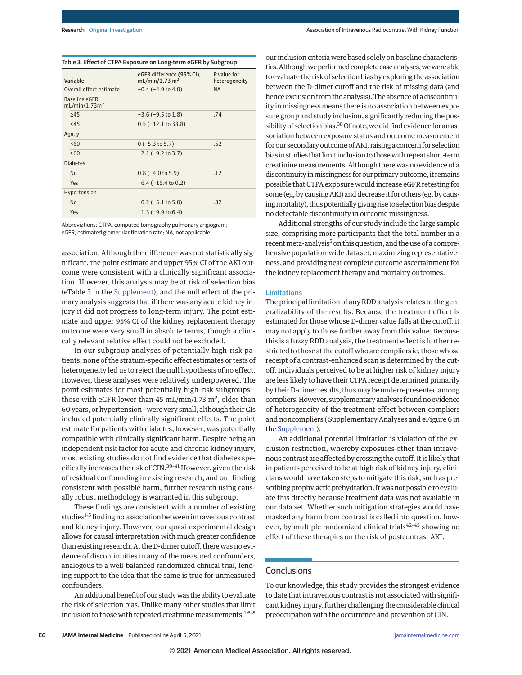| Variable                                    | eGFR difference (95% CI),<br>mL/min/1.73 m <sup>2</sup> | P value for<br>heterogeneity |
|---------------------------------------------|---------------------------------------------------------|------------------------------|
| Overall effect estimate                     | $-0.4$ ( $-4.9$ to $4.0$ )                              | <b>NA</b>                    |
| Baseline eGFR,<br>mL/min/1.73m <sup>2</sup> |                                                         |                              |
| $\geq 45$                                   | $-3.6$ ( $-9.5$ to 1.8)                                 | .74                          |
| < 45                                        | $0.5$ ( $-12.1$ to 33.8)                                |                              |
| Age, y                                      |                                                         |                              |
| 560                                         | $0$ (-5.3 to 5.7)                                       | .62                          |
| $\geq 60$                                   | $-2.1$ ( $-9.2$ to 3.7)                                 |                              |
| <b>Diabetes</b>                             |                                                         |                              |
| N <sub>0</sub>                              | $0.8$ (-4.0 to 5.9)                                     | .12                          |
| Yes                                         | $-6.4$ ( $-15.4$ to 0.2)                                |                              |
| Hypertension                                |                                                         |                              |
| <b>No</b>                                   | $-0.2$ ( $-5.1$ to $5.0$ )                              | .82                          |
| Yes                                         | $-1.3$ (-9.9 to 6.4)                                    |                              |

Abbreviations: CTPA, computed tomography pulmonary angiogram; eGFR, estimated glomerular filtration rate; NA, not applicable.

association. Although the difference was not statistically significant, the point estimate and upper 95% CI of the AKI outcome were consistent with a clinically significant association. However, this analysis may be at risk of selection bias (eTable 3 in the [Supplement\)](https://jamanetwork.com/journals/jama/fullarticle/10.1001/jamainternmed.2021.0916?utm_campaign=articlePDF%26utm_medium=articlePDFlink%26utm_source=articlePDF%26utm_content=jamainternmed.2021.0916), and the null effect of the primary analysis suggests that if there was any acute kidney injury it did not progress to long-term injury. The point estimate and upper 95% CI of the kidney replacement therapy outcome were very small in absolute terms, though a clinically relevant relative effect could not be excluded.

In our subgroup analyses of potentially high-risk patients, none of the stratum-specific effect estimates or tests of heterogeneity led us to reject the null hypothesis of no effect. However, these analyses were relatively underpowered. The point estimates for most potentially high-risk subgroups those with eGFR lower than 45 mL/min/1.73 m<sup>2</sup>, older than 60 years, or hypertension—were very small, although their CIs included potentially clinically significant effects. The point estimate for patients with diabetes, however, was potentially compatible with clinically significant harm. Despite being an independent risk factor for acute and chronic kidney injury, most existing studies do not find evidence that diabetes specifically increases the risk of CIN.39-41 However, given the risk of residual confounding in existing research, and our finding consistent with possible harm, further research using causally robust methodology is warranted in this subgroup.

These findings are consistent with a number of existing studies<sup>1-5</sup> finding no association between intravenous contrast and kidney injury. However, our quasi-experimental design allows for causal interpretation with much greater confidence than existing research. At the D-dimer cutoff, there was no evidence of discontinuities in any of the measured confounders, analogous to a well-balanced randomized clinical trial, lending support to the idea that the same is true for unmeasured confounders.

An additional benefit of our studywas the ability to evaluate the risk of selection bias. Unlike many other studies that limit inclusion to those with repeated creatinine measurements,  $1,6-8$ 

our inclusion criteria were based solely on baseline characteristics. Although we performed complete case analyses, we were able to evaluate the risk of selection bias by exploring the association between the D-dimer cutoff and the risk of missing data (and hence exclusion from the analysis). The absence of a discontinuity in missingness means there is no association between exposure group and study inclusion, significantly reducing the possibility of selection bias.<sup>38</sup> Of note, we did find evidence for an association between exposure status and outcome measurement for our secondary outcome of AKI, raising a concern for selection bias in studies that limit inclusion to thosewith repeat short-term creatinine measurements. Although there was no evidence of a discontinuity in missingness for our primary outcome, it remains possible that CTPA exposure would increase eGFR retesting for some (eg, by causing AKI) and decrease it for others (eg, by causing mortality), thus potentially giving rise to selection bias despite no detectable discontinuity in outcome missingness.

Additional strengths of our study include the large sample size, comprising more participants that the total number in a recent meta-analysis<sup>5</sup> on this question, and the use of a comprehensive population-wide data set, maximizing representativeness, and providing near complete outcome ascertainment for the kidney replacement therapy and mortality outcomes.

#### Limitations

The principal limitation of any RDD analysis relates to the generalizability of the results. Because the treatment effect is estimated for those whose D-dimer value falls at the cutoff, it may not apply to those further away from this value. Because this is a fuzzy RDD analysis, the treatment effect is further restricted to those at the cutoff who are compliers ie, those whose receipt of a contrast-enhanced scan is determined by the cutoff. Individuals perceived to be at higher risk of kidney injury are less likely to have their CTPA receipt determined primarily by their D-dimer results, thus may be underrepresented among compliers. However, supplementary analyses found no evidence of heterogeneity of the treatment effect between compliers and noncompliers ( Supplementary Analyses and eFigure 6 in the [Supplement\)](https://jamanetwork.com/journals/jama/fullarticle/10.1001/jamainternmed.2021.0916?utm_campaign=articlePDF%26utm_medium=articlePDFlink%26utm_source=articlePDF%26utm_content=jamainternmed.2021.0916).

An additional potential limitation is violation of the exclusion restriction, whereby exposures other than intravenous contrast are affected by crossing the cutoff. It is likely that in patients perceived to be at high risk of kidney injury, clinicians would have taken steps to mitigate this risk, such as prescribing prophylactic prehydration. It was not possible to evaluate this directly because treatment data was not available in our data set. Whether such mitigation strategies would have masked any harm from contrast is called into question, however, by multiple randomized clinical trials<sup>42-45</sup> showing no effect of these therapies on the risk of postcontrast AKI.

### **Conclusions**

To our knowledge, this study provides the strongest evidence to date that intravenous contrast is not associated with significant kidney injury, further challenging the considerable clinical preoccupation with the occurrence and prevention of CIN.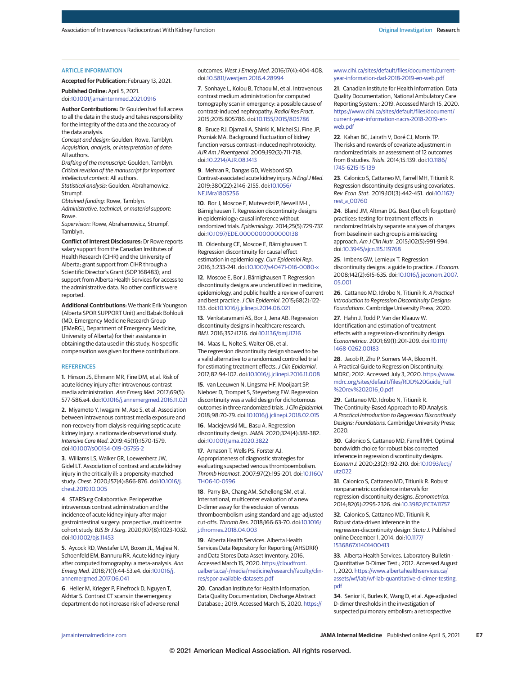#### ARTICLE INFORMATION

**Accepted for Publication:** February 13, 2021.

**Published Online:** April 5, 2021. doi[:10.1001/jamainternmed.2021.0916](https://jamanetwork.com/journals/jama/fullarticle/10.1001/jamainternmed.2021.0916?utm_campaign=articlePDF%26utm_medium=articlePDFlink%26utm_source=articlePDF%26utm_content=jamainternmed.2021.0916)

**Author Contributions:** Dr Goulden had full access to all the data in the study and takes responsibility for the integrity of the data and the accuracy of the data analysis.

*Concept and design:* Goulden, Rowe, Tamblyn. *Acquisition, analysis, or interpretation of data:* All authors.

*Drafting of the manuscript:* Goulden, Tamblyn. *Critical revision of the manuscript for important intellectual content:* All authors.

*Statistical analysis:* Goulden, Abrahamowicz, Strumpf.

*Obtained funding:* Rowe, Tamblyn. *Administrative, technical, or material support:*

Rowe.

*Supervision:* Rowe, Abrahamowicz, Strumpf, Tamblyn.

**Conflict of Interest Disclosures:** Dr Rowe reports salary support from the Canadian Institutes of Health Research (CIHR) and the University of Alberta; grant support from CIHR through a Scientific Director's Grant (SOP 168483); and support from Alberta Health Services for access to the administrative data. No other conflicts were reported.

**Additional Contributions:** We thank Erik Youngson (Alberta SPOR SUPPORT Unit) and Babak Bohlouli (MD, Emergency Medicine Research Group [EMeRG], Department of Emergency Medicine, University of Alberta) for their assistance in obtaining the data used in this study. No specific compensation was given for these contributions.

#### **REFERENCES**

**1**. Hinson JS, Ehmann MR, Fine DM, et al. Risk of acute kidney injury after intravenous contrast media administration. *Ann Emerg Med*. 2017;69(5): 577-586.e4. doi[:10.1016/j.annemergmed.2016.11.021](https://dx.doi.org/10.1016/j.annemergmed.2016.11.021)

**2**. Miyamoto Y, Iwagami M, Aso S, et al. Association between intravenous contrast media exposure and non-recovery from dialysis-requiring septic acute kidney injury: a nationwide observational study. *Intensive Care Med*. 2019;45(11):1570-1579. doi[:10.1007/s00134-019-05755-2](https://dx.doi.org/10.1007/s00134-019-05755-2)

**3**. Williams LS, Walker GR, Loewenherz JW, Gidel LT. Association of contrast and acute kidney injury in the critically ill: a propensity-matched study. *Chest*. 2020;157(4):866-876. doi[:10.1016/j.](https://dx.doi.org/10.1016/j.chest.2019.10.005) [chest.2019.10.005](https://dx.doi.org/10.1016/j.chest.2019.10.005)

**4**. STARSurg Collaborative. Perioperative intravenous contrast administration and the incidence of acute kidney injury after major gastrointestinal surgery: prospective, multicentre cohort study. *BJS Br J Surg*. 2020;107(8):1023-1032. doi[:10.1002/bjs.11453](https://dx.doi.org/10.1002/bjs.11453)

**5**. Aycock RD, Westafer LM, Boxen JL, Majlesi N, Schoenfeld EM, Bannuru RR. Acute kidney injury after computed tomography: a meta-analysis. *Ann Emerg Med*. 2018;71(1):44-53.e4. doi[:10.1016/j.](https://dx.doi.org/10.1016/j.annemergmed.2017.06.041) [annemergmed.2017.06.041](https://dx.doi.org/10.1016/j.annemergmed.2017.06.041)

**6**. Heller M, Krieger P, Finefrock D, Nguyen T, Akhtar S. Contrast CT scans in the emergency department do not increase risk of adverse renal outcomes. *West J Emerg Med*. 2016;17(4):404-408. doi[:10.5811/westjem.2016.4.28994](https://dx.doi.org/10.5811/westjem.2016.4.28994)

**7**. Sonhaye L, Kolou B, Tchaou M, et al. Intravenous contrast medium administration for computed tomography scan in emergency: a possible cause of contrast-induced nephropathy. *Radiol Res Pract*. 2015;2015:805786. doi[:10.1155/2015/805786](https://dx.doi.org/10.1155/2015/805786)

**8**. Bruce RJ, Djamali A, Shinki K, Michel SJ, Fine JP, Pozniak MA. Background fluctuation of kidney function versus contrast-induced nephrotoxicity. *AJR Am J Roentgenol*. 2009;192(3):711-718. doi[:10.2214/AJR.08.1413](https://dx.doi.org/10.2214/AJR.08.1413)

**9**. Mehran R, Dangas GD, Weisbord SD. Contrast-associated acute kidney injury. *N Engl J Med*. 2019;380(22):2146-2155. doi[:10.1056/](https://dx.doi.org/10.1056/NEJMra1805256) [NEJMra1805256](https://dx.doi.org/10.1056/NEJMra1805256)

**10**. Bor J, Moscoe E, Mutevedzi P, Newell M-L, Bärnighausen T. Regression discontinuity designs in epidemiology: causal inference without randomized trials. *Epidemiology*. 2014;25(5):729-737. doi[:10.1097/EDE.0000000000000138](https://dx.doi.org/10.1097/EDE.0000000000000138)

**11**. Oldenburg CE, Moscoe E, Bärnighausen T. Regression discontinuity for causal effect estimation in epidemiology. *Curr Epidemiol Rep*. 2016;3:233-241. doi[:10.1007/s40471-016-0080-x](https://dx.doi.org/10.1007/s40471-016-0080-x)

**12**. Moscoe E, Bor J, Bärnighausen T. Regression discontinuity designs are underutilized in medicine, epidemiology, and public health: a review of current and best practice.*J Clin Epidemiol*. 2015;68(2):122- 133. doi[:10.1016/j.jclinepi.2014.06.021](https://dx.doi.org/10.1016/j.jclinepi.2014.06.021)

**13**. Venkataramani AS, Bor J, Jena AB. Regression discontinuity designs in healthcare research. *BMJ*. 2016;352:i1216. doi[:10.1136/bmj.i1216](https://dx.doi.org/10.1136/bmj.i1216)

**14**. Maas IL, Nolte S, Walter OB, et al. The regression discontinuity design showed to be a valid alternative to a randomized controlled trial for estimating treatment effects.*J Clin Epidemiol*. 2017;82:94-102. doi[:10.1016/j.jclinepi.2016.11.008](https://dx.doi.org/10.1016/j.jclinepi.2016.11.008)

**15**. van Leeuwen N, Lingsma HF, Mooijaart SP, Nieboer D, Trompet S, Steyerberg EW. Regression discontinuity was a valid design for dichotomous outcomes in three randomized trials.*J Clin Epidemiol*. 2018;98:70-79. doi[:10.1016/j.jclinepi.2018.02.015](https://dx.doi.org/10.1016/j.jclinepi.2018.02.015)

**16**. Maciejewski ML, Basu A. Regression discontinuity design.*JAMA*. 2020;324(4):381-382. doi[:10.1001/jama.2020.3822](https://jamanetwork.com/journals/jama/fullarticle/10.1001/jama.2020.3822?utm_campaign=articlePDF%26utm_medium=articlePDFlink%26utm_source=articlePDF%26utm_content=jamainternmed.2021.0916)

**17**. Arnason T, Wells PS, Forster AJ. Appropriateness of diagnostic strategies for evaluating suspected venous thromboembolism. *Thromb Haemost*. 2007;97(2):195-201. doi[:10.1160/](https://dx.doi.org/10.1160/TH06-10-0596) [TH06-10-0596](https://dx.doi.org/10.1160/TH06-10-0596)

**18**. Parry BA, Chang AM, Schellong SM, et al. International, multicenter evaluation of a new D-dimer assay for the exclusion of venous thromboembolism using standard and age-adjusted cut-offs. *Thromb Res*. 2018;166:63-70. doi[:10.1016/](https://dx.doi.org/10.1016/j.thromres.2018.04.003) [j.thromres.2018.04.003](https://dx.doi.org/10.1016/j.thromres.2018.04.003)

**19**. Alberta Health Services. Alberta Health Services Data Repository for Reporting (AHSDRR) and Data Stores Data Asset Inventory. 2016. Accessed March 15, 2020. [https://cloudfront.](https://cloudfront.ualberta.ca/-/media/medicine/research/faculty/clin-res/spor-available-datasets.pdf) [ualberta.ca/-/media/medicine/research/faculty/clin](https://cloudfront.ualberta.ca/-/media/medicine/research/faculty/clin-res/spor-available-datasets.pdf)[res/spor-available-datasets.pdf](https://cloudfront.ualberta.ca/-/media/medicine/research/faculty/clin-res/spor-available-datasets.pdf)

**20**. Canadian Institute for Health Information. Data Quality Documentation, Discharge Abstract Database.; 2019. Accessed March 15, 2020. [https://](https://www.cihi.ca/sites/default/files/document/current-year-information-dad-2018-2019-en-web.pdf) [www.cihi.ca/sites/default/files/document/current](https://www.cihi.ca/sites/default/files/document/current-year-information-dad-2018-2019-en-web.pdf)[year-information-dad-2018-2019-en-web.pdf](https://www.cihi.ca/sites/default/files/document/current-year-information-dad-2018-2019-en-web.pdf)

**21**. Canadian Institute for Health Information. Data Quality Documentation, National Ambulatory Care Reporting System.; 2019. Accessed March 15, 2020. [https://www.cihi.ca/sites/default/files/document/](https://www.cihi.ca/sites/default/files/document/current-year-information-nacrs-2018-2019-en-web.pdf) [current-year-information-nacrs-2018-2019-en](https://www.cihi.ca/sites/default/files/document/current-year-information-nacrs-2018-2019-en-web.pdf)[web.pdf](https://www.cihi.ca/sites/default/files/document/current-year-information-nacrs-2018-2019-en-web.pdf)

**22**. Kahan BC, Jairath V, Doré CJ, Morris TP. The risks and rewards of covariate adjustment in randomized trials: an assessment of 12 outcomes from 8 studies. *Trials*. 2014;15:139. doi[:10.1186/](https://dx.doi.org/10.1186/1745-6215-15-139) [1745-6215-15-139](https://dx.doi.org/10.1186/1745-6215-15-139)

**23**. Calonico S, Cattaneo M, Farrell MH, Titiunik R. Regression discontinuity designs using covariates. *Rev Econ Stat.* 2019;101(3):442-451. doi[:10.1162/](https://dx.doi.org/10.1162/rest_a_00760) [rest\\_a\\_00760](https://dx.doi.org/10.1162/rest_a_00760)

**24**. Bland JM, Altman DG. Best (but oft forgotten) practices: testing for treatment effects in randomized trials by separate analyses of changes from baseline in each group is a misleading approach. *Am J Clin Nutr*. 2015;102(5):991-994. doi[:10.3945/ajcn.115.119768](https://dx.doi.org/10.3945/ajcn.115.119768)

**25**. Imbens GW, Lemieux T. Regression discontinuity designs: a guide to practice.*J Econom.* 2008;142(2):615-635. doi[:10.1016/j.jeconom.2007.](https://dx.doi.org/10.1016/j.jeconom.2007.05.001) [05.001](https://dx.doi.org/10.1016/j.jeconom.2007.05.001)

**26**. Cattaneo MD, Idrobo N, Titiunik R. *A Practical Introduction to Regression Discontinuity Designs: Foundations.* Cambridge University Press; 2020.

**27**. Hahn J, Todd P, Van der Klaauw W. Identification and estimation of treatment effects with a regression-discontinuity design. *Econometrica.* 2001;69(1):201-209. doi[:10.1111/](https://dx.doi.org/10.1111/1468-0262.00183) [1468-0262.00183](https://dx.doi.org/10.1111/1468-0262.00183)

**28**. Jacob R, Zhu P, Somers M-A, Bloom H. A Practical Guide to Regression Discontinuity. MDRC; 2012. Accessed July 3, 2020. [https://www.](https://www.mdrc.org/sites/default/files/RDD%20Guide_Full%20rev%202016_0.pdf) [mdrc.org/sites/default/files/RDD%20Guide\\_Full](https://www.mdrc.org/sites/default/files/RDD%20Guide_Full%20rev%202016_0.pdf) [%20rev%202016\\_0.pdf](https://www.mdrc.org/sites/default/files/RDD%20Guide_Full%20rev%202016_0.pdf)

**29**. Cattaneo MD, Idrobo N, Titiunik R. The Continuity-Based Approach to RD Analysis. *A Practical Introduction to Regression Discontinuity Designs: Foundations.* Cambridge University Press; 2020.

**30**. Calonico S, Cattaneo MD, Farrell MH. Optimal bandwidth choice for robust bias corrected inference in regression discontinuity designs. *Econom J.* 2020;23(2):192-210. doi[:10.1093/ectj/](https://dx.doi.org/10.1093/ectj/utz022) [utz022](https://dx.doi.org/10.1093/ectj/utz022)

**31**. Calonico S, Cattaneo MD, Titiunik R. Robust nonparametric confidence intervals for regression-discontinuity designs. *Econometrica.* 2014;82(6):2295-2326. doi[:10.3982/ECTA11757](https://dx.doi.org/10.3982/ECTA11757)

**32**. Calonico S, Cattaneo MD, Titiunik R. Robust data-driven inference in the regression-discontinuity design: *Stata J.* Published online December 1, 2014. doi[:10.1177/](https://dx.doi.org/10.1177/1536867X1401400413) [1536867X1401400413](https://dx.doi.org/10.1177/1536867X1401400413)

**33**. Alberta Health Services. Laboratory Bulletin - Quantitative D-Dimer Test.; 2012. Accessed August 1, 2020. [https://www.albertahealthservices.ca/](https://www.albertahealthservices.ca/assets/wf/lab/wf-lab-quantitative-d-dimer-testing.pdf) [assets/wf/lab/wf-lab-quantitative-d-dimer-testing.](https://www.albertahealthservices.ca/assets/wf/lab/wf-lab-quantitative-d-dimer-testing.pdf) [pdf](https://www.albertahealthservices.ca/assets/wf/lab/wf-lab-quantitative-d-dimer-testing.pdf)

**34**. Senior K, Burles K, Wang D, et al. Age-adjusted D-dimer thresholds in the investigation of suspected pulmonary embolism: a retrospective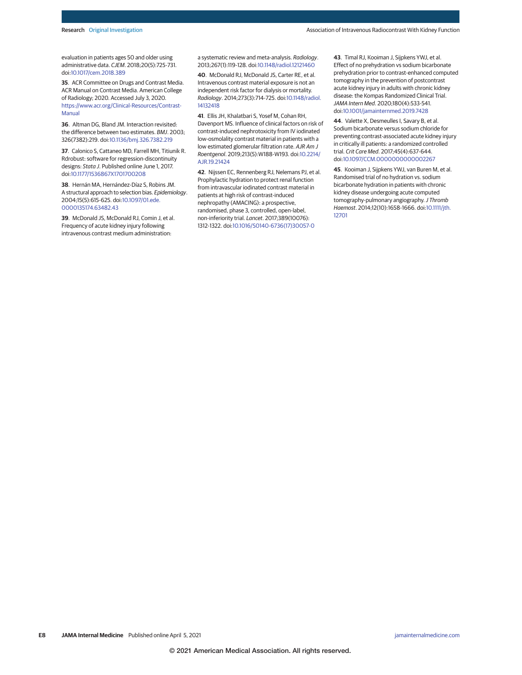evaluation in patients ages 50 and older using administrative data. *CJEM*. 2018;20(5):725-731. doi[:10.1017/cem.2018.389](https://dx.doi.org/10.1017/cem.2018.389)

**35**. ACR Committee on Drugs and Contrast Media. ACR Manual on Contrast Media. American College of Radiology; 2020. Accessed July 3, 2020. [https://www.acr.org/Clinical-Resources/Contrast-](https://www.acr.org/Clinical-Resources/Contrast-Manual)[Manual](https://www.acr.org/Clinical-Resources/Contrast-Manual)

**36**. Altman DG, Bland JM. Interaction revisited: the difference between two estimates. *BMJ*. 2003; 326(7382):219. doi[:10.1136/bmj.326.7382.219](https://dx.doi.org/10.1136/bmj.326.7382.219)

**37**. Calonico S, Cattaneo MD, Farrell MH, Titiunik R. Rdrobust: software for regression-discontinuity designs: *Stata J*. Published online June 1, 2017. doi[:10.1177/1536867X1701700208](https://dx.doi.org/10.1177/1536867X1701700208)

**38**. Hernán MA, Hernández-Díaz S, Robins JM. A structural approach to selection bias. *Epidemiology*. 2004;15(5):615-625. doi[:10.1097/01.ede.](https://dx.doi.org/10.1097/01.ede.0000135174.63482.43) [0000135174.63482.43](https://dx.doi.org/10.1097/01.ede.0000135174.63482.43)

**39**. McDonald JS, McDonald RJ, Comin J, et al. Frequency of acute kidney injury following intravenous contrast medium administration:

a systematic review and meta-analysis. *Radiology*. 2013;267(1):119-128. doi[:10.1148/radiol.12121460](https://dx.doi.org/10.1148/radiol.12121460)

**40**. McDonald RJ, McDonald JS, Carter RE, et al. Intravenous contrast material exposure is not an independent risk factor for dialysis or mortality. *Radiology*. 2014;273(3):714-725. doi[:10.1148/radiol.](https://dx.doi.org/10.1148/radiol.14132418) [14132418](https://dx.doi.org/10.1148/radiol.14132418)

**41**. Ellis JH, Khalatbari S, Yosef M, Cohan RH, Davenport MS. Influence of clinical factors on risk of contrast-induced nephrotoxicity from IV iodinated low-osmolality contrast material in patients with a low estimated glomerular filtration rate. *AJR Am J Roentgenol*. 2019;213(5):W188-W193. doi[:10.2214/](https://dx.doi.org/10.2214/AJR.19.21424) [AJR.19.21424](https://dx.doi.org/10.2214/AJR.19.21424)

**42**. Nijssen EC, Rennenberg RJ, Nelemans PJ, et al. Prophylactic hydration to protect renal function from intravascular iodinated contrast material in patients at high risk of contrast-induced nephropathy (AMACING): a prospective, randomised, phase 3, controlled, open-label, non-inferiority trial. *Lancet*. 2017;389(10076): 1312-1322. doi[:10.1016/S0140-6736\(17\)30057-0](https://dx.doi.org/10.1016/S0140-6736(17)30057-0)

**43**. Timal RJ, Kooiman J, Sijpkens YWJ, et al. Effect of no prehydration vs sodium bicarbonate prehydration prior to contrast-enhanced computed tomography in the prevention of postcontrast acute kidney injury in adults with chronic kidney disease: the Kompas Randomized Clinical Trial. *JAMA Intern Med*. 2020;180(4):533-541. doi[:10.1001/jamainternmed.2019.7428](https://jamanetwork.com/journals/jama/fullarticle/10.1001/jamainternmed.2019.7428?utm_campaign=articlePDF%26utm_medium=articlePDFlink%26utm_source=articlePDF%26utm_content=jamainternmed.2021.0916)

**44**. Valette X, Desmeulles I, Savary B, et al. Sodium bicarbonate versus sodium chloride for preventing contrast-associated acute kidney injury in critically ill patients: a randomized controlled trial. *Crit Care Med*. 2017;45(4):637-644. doi[:10.1097/CCM.0000000000002267](https://dx.doi.org/10.1097/CCM.0000000000002267)

**45**. Kooiman J, Sijpkens YWJ, van Buren M, et al. Randomised trial of no hydration vs. sodium bicarbonate hydration in patients with chronic kidney disease undergoing acute computed tomography-pulmonary angiography.*J Thromb Haemost*. 2014;12(10):1658-1666. doi[:10.1111/jth.](https://dx.doi.org/10.1111/jth.12701) [12701](https://dx.doi.org/10.1111/jth.12701)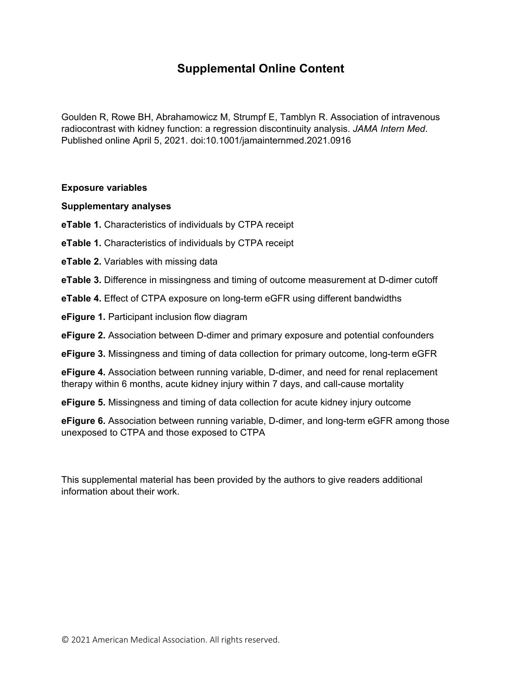# **Supplemental Online Content**

Goulden R, Rowe BH, Abrahamowicz M, Strumpf E, Tamblyn R. Association of intravenous radiocontrast with kidney function: a regression discontinuity analysis. *JAMA Intern Med*. Published online April 5, 2021. doi:10.1001/jamainternmed.2021.0916

## **Exposure variables**

## **Supplementary analyses**

- **eTable 1.** Characteristics of individuals by CTPA receipt
- **eTable 1.** Characteristics of individuals by CTPA receipt
- **eTable 2.** Variables with missing data
- **eTable 3.** Difference in missingness and timing of outcome measurement at D-dimer cutoff
- **eTable 4.** Effect of CTPA exposure on long-term eGFR using different bandwidths
- **eFigure 1.** Participant inclusion flow diagram
- **eFigure 2.** Association between D-dimer and primary exposure and potential confounders
- **eFigure 3.** Missingness and timing of data collection for primary outcome, long-term eGFR

**eFigure 4.** Association between running variable, D-dimer, and need for renal replacement therapy within 6 months, acute kidney injury within 7 days, and call-cause mortality

**eFigure 5.** Missingness and timing of data collection for acute kidney injury outcome

**eFigure 6.** Association between running variable, D-dimer, and long-term eGFR among those unexposed to CTPA and those exposed to CTPA

This supplemental material has been provided by the authors to give readers additional information about their work.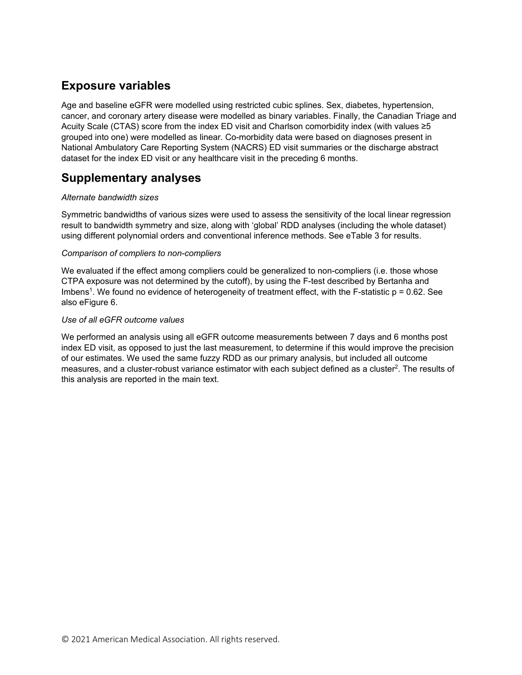# **Exposure variables**

Age and baseline eGFR were modelled using restricted cubic splines. Sex, diabetes, hypertension, cancer, and coronary artery disease were modelled as binary variables. Finally, the Canadian Triage and Acuity Scale (CTAS) score from the index ED visit and Charlson comorbidity index (with values ≥5 grouped into one) were modelled as linear. Co-morbidity data were based on diagnoses present in National Ambulatory Care Reporting System (NACRS) ED visit summaries or the discharge abstract dataset for the index ED visit or any healthcare visit in the preceding 6 months.

# **Supplementary analyses**

## *Alternate bandwidth sizes*

Symmetric bandwidths of various sizes were used to assess the sensitivity of the local linear regression result to bandwidth symmetry and size, along with 'global' RDD analyses (including the whole dataset) using different polynomial orders and conventional inference methods. See eTable 3 for results.

## *Comparison of compliers to non-compliers*

We evaluated if the effect among compliers could be generalized to non-compliers (i.e. those whose CTPA exposure was not determined by the cutoff), by using the F-test described by Bertanha and Imbens<sup>1</sup>. We found no evidence of heterogeneity of treatment effect, with the F-statistic  $p = 0.62$ . See also eFigure 6.

## *Use of all eGFR outcome values*

We performed an analysis using all eGFR outcome measurements between 7 days and 6 months post index ED visit, as opposed to just the last measurement, to determine if this would improve the precision of our estimates. We used the same fuzzy RDD as our primary analysis, but included all outcome measures, and a cluster-robust variance estimator with each subject defined as a cluster<sup>2</sup>. The results of this analysis are reported in the main text.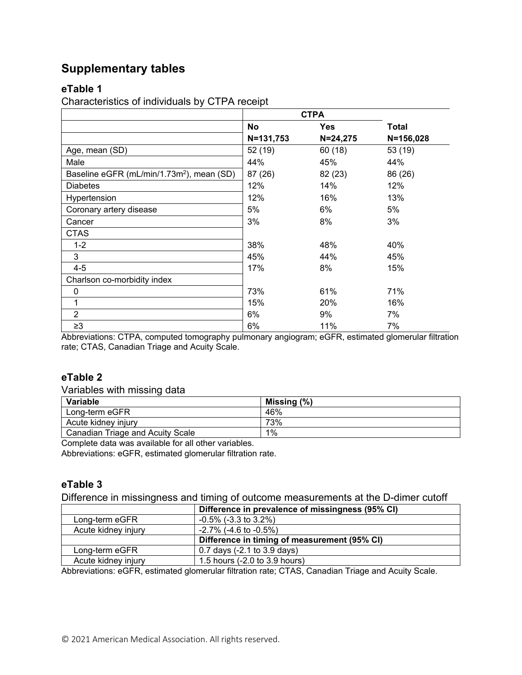# **Supplementary tables**

## **eTable 1**

Characteristics of individuals by CTPA receipt

|                                                       | <b>CTPA</b> |              |               |
|-------------------------------------------------------|-------------|--------------|---------------|
|                                                       | <b>No</b>   | <b>Yes</b>   | Total         |
|                                                       | N=131,753   | $N = 24,275$ | $N = 156,028$ |
| Age, mean (SD)                                        | 52 (19)     | 60(18)       | 53(19)        |
| Male                                                  | 44%         | 45%          | 44%           |
| Baseline eGFR (mL/min/1.73m <sup>2</sup> ), mean (SD) | 87 (26)     | 82 (23)      | 86 (26)       |
| <b>Diabetes</b>                                       | 12%         | 14%          | 12%           |
| Hypertension                                          | 12%         | 16%          | 13%           |
| Coronary artery disease                               | 5%          | 6%           | 5%            |
| Cancer                                                | 3%          | 8%           | 3%            |
| <b>CTAS</b>                                           |             |              |               |
| $1 - 2$                                               | 38%         | 48%          | 40%           |
| 3                                                     | 45%         | 44%          | 45%           |
| $4 - 5$                                               | 17%         | 8%           | 15%           |
| Charlson co-morbidity index                           |             |              |               |
| 0                                                     | 73%         | 61%          | 71%           |
| 1                                                     | 15%         | 20%          | 16%           |
| $\overline{2}$                                        | 6%          | 9%           | 7%            |
| $\geq$ 3                                              | 6%          | 11%          | 7%            |

Abbreviations: CTPA, computed tomography pulmonary angiogram; eGFR, estimated glomerular filtration rate; CTAS, Canadian Triage and Acuity Scale.

# **eTable 2**

Variables with missing data

| Variable                         | Missing $(\%)$ |
|----------------------------------|----------------|
| Long-term eGFR                   | 46%            |
| Acute kidney injury              | 73%            |
| Canadian Triage and Acuity Scale | 1%             |

Complete data was available for all other variables.

Abbreviations: eGFR, estimated glomerular filtration rate.

## **eTable 3**

Difference in missingness and timing of outcome measurements at the D-dimer cutoff

|                     | Difference in prevalence of missingness (95% CI) |
|---------------------|--------------------------------------------------|
| Long-term eGFR      | $-0.5\%$ ( $-3.3$ to $3.2\%$ )                   |
| Acute kidney injury | $-2.7\%$ (-4.6 to $-0.5\%$ )                     |
|                     | Difference in timing of measurement (95% CI)     |
| Long-term eGFR      | 0.7 days (-2.1 to 3.9 days)                      |
| Acute kidney injury | 1.5 hours (-2.0 to 3.9 hours)                    |

Abbreviations: eGFR, estimated glomerular filtration rate; CTAS, Canadian Triage and Acuity Scale.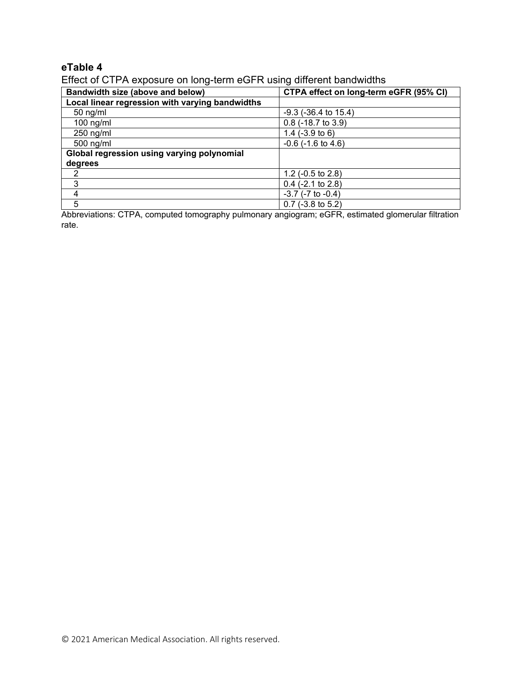# **eTable 4**

Effect of CTPA exposure on long-term eGFR using different bandwidths

| Bandwidth size (above and below)                | CTPA effect on long-term eGFR (95% CI) |  |
|-------------------------------------------------|----------------------------------------|--|
| Local linear regression with varying bandwidths |                                        |  |
| $50$ ng/ml                                      | $-9.3$ ( $-36.4$ to $15.4$ )           |  |
| $100$ ng/ml                                     | $0.8$ (-18.7 to 3.9)                   |  |
| $250$ ng/ml                                     | 1.4 $(-3.9 \text{ to } 6)$             |  |
| $500$ ng/ml                                     | $-0.6$ ( $-1.6$ to $4.6$ )             |  |
| Global regression using varying polynomial      |                                        |  |
| degrees                                         |                                        |  |
|                                                 | 1.2 $(-0.5 \text{ to } 2.8)$           |  |
| 3                                               | $0.4$ (-2.1 to 2.8)                    |  |
|                                                 | $-3.7$ ( $-7$ to $-0.4$ )              |  |
| 5                                               | $0.7$ (-3.8 to 5.2)                    |  |

Abbreviations: CTPA, computed tomography pulmonary angiogram; eGFR, estimated glomerular filtration rate.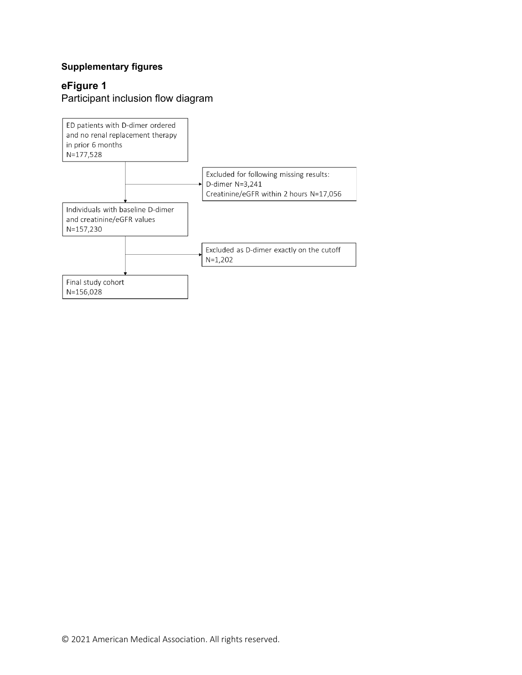# **Supplementary figures**

# **eFigure 1**

Participant inclusion flow diagram

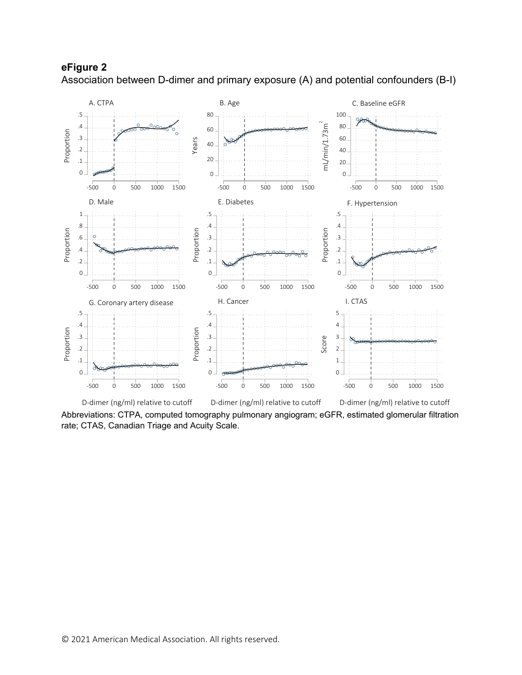

**eFigure 2** Association between D-dimer and primary exposure (A) and potential confounders (B-I)

D-dimer (ng/ml) relative to cutoff D-dimer (ng/ml) relative to cutoff D-dimer (ng/ml) relative to cutoff

Abbreviations: CTPA, computed tomography pulmonary angiogram; eGFR, estimated glomerular filtration rate; CTAS, Canadian Triage and Acuity Scale.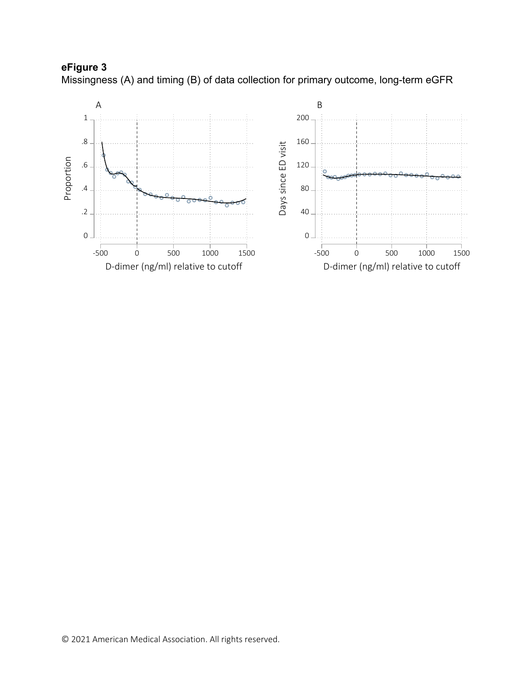

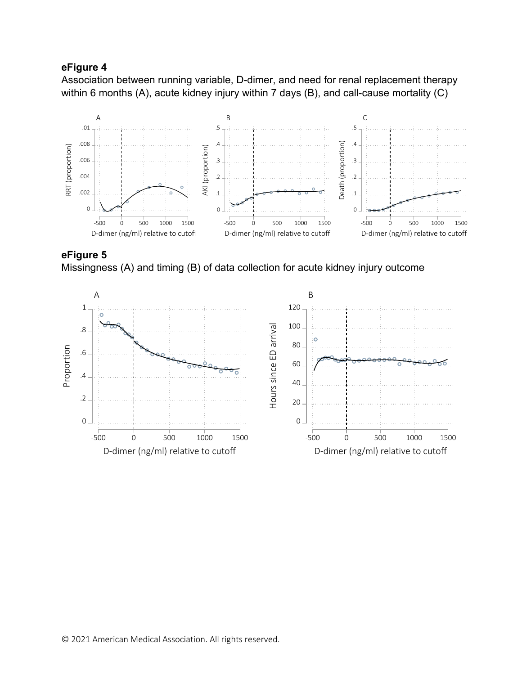## **eFigure 4**

Association between running variable, D-dimer, and need for renal replacement therapy within 6 months (A), acute kidney injury within 7 days (B), and call-cause mortality (C)



**eFigure 5**  Missingness (A) and timing (B) of data collection for acute kidney injury outcome